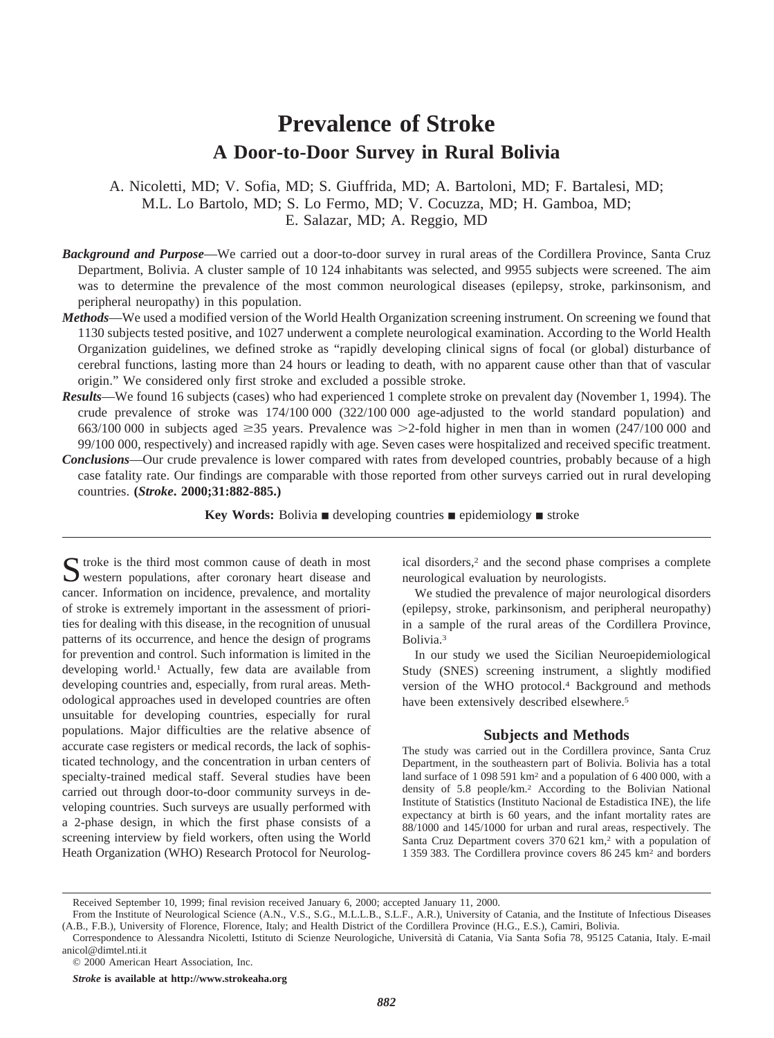# **Prevalence of Stroke A Door-to-Door Survey in Rural Bolivia**

A. Nicoletti, MD; V. Sofia, MD; S. Giuffrida, MD; A. Bartoloni, MD; F. Bartalesi, MD; M.L. Lo Bartolo, MD; S. Lo Fermo, MD; V. Cocuzza, MD; H. Gamboa, MD; E. Salazar, MD; A. Reggio, MD

- *Background and Purpose*—We carried out a door-to-door survey in rural areas of the Cordillera Province, Santa Cruz Department, Bolivia. A cluster sample of 10 124 inhabitants was selected, and 9955 subjects were screened. The aim was to determine the prevalence of the most common neurological diseases (epilepsy, stroke, parkinsonism, and peripheral neuropathy) in this population.
- *Methods*—We used a modified version of the World Health Organization screening instrument. On screening we found that 1130 subjects tested positive, and 1027 underwent a complete neurological examination. According to the World Health Organization guidelines, we defined stroke as "rapidly developing clinical signs of focal (or global) disturbance of cerebral functions, lasting more than 24 hours or leading to death, with no apparent cause other than that of vascular origin." We considered only first stroke and excluded a possible stroke.
- *Results*—We found 16 subjects (cases) who had experienced 1 complete stroke on prevalent day (November 1, 1994). The crude prevalence of stroke was 174/100 000 (322/100 000 age-adjusted to the world standard population) and 663/100 000 in subjects aged  $\geq$ 35 years. Prevalence was  $\geq$ 2-fold higher in men than in women (247/100 000 and 99/100 000, respectively) and increased rapidly with age. Seven cases were hospitalized and received specific treatment.
- *Conclusions*—Our crude prevalence is lower compared with rates from developed countries, probably because of a high case fatality rate. Our findings are comparable with those reported from other surveys carried out in rural developing countries. **(***Stroke***. 2000;31:882-885.)**

**Key Words:** Bolivia  $\blacksquare$  developing countries  $\blacksquare$  epidemiology  $\blacksquare$  stroke

Stroke is the third most common cause of death in most western populations, after coronary heart disease and cancer. Information on incidence, prevalence, and mortality of stroke is extremely important in the assessment of priorities for dealing with this disease, in the recognition of unusual patterns of its occurrence, and hence the design of programs for prevention and control. Such information is limited in the developing world.1 Actually, few data are available from developing countries and, especially, from rural areas. Methodological approaches used in developed countries are often unsuitable for developing countries, especially for rural populations. Major difficulties are the relative absence of accurate case registers or medical records, the lack of sophisticated technology, and the concentration in urban centers of specialty-trained medical staff. Several studies have been carried out through door-to-door community surveys in developing countries. Such surveys are usually performed with a 2-phase design, in which the first phase consists of a screening interview by field workers, often using the World Heath Organization (WHO) Research Protocol for Neurolog-

ical disorders,2 and the second phase comprises a complete neurological evaluation by neurologists.

We studied the prevalence of major neurological disorders (epilepsy, stroke, parkinsonism, and peripheral neuropathy) in a sample of the rural areas of the Cordillera Province, Bolivia.3

In our study we used the Sicilian Neuroepidemiological Study (SNES) screening instrument, a slightly modified version of the WHO protocol.4 Background and methods have been extensively described elsewhere.<sup>5</sup>

## **Subjects and Methods**

The study was carried out in the Cordillera province, Santa Cruz Department, in the southeastern part of Bolivia. Bolivia has a total land surface of 1 098 591 km2 and a population of 6 400 000, with a density of 5.8 people/km.2 According to the Bolivian National Institute of Statistics (Instituto Nacional de Estadistica INE), the life expectancy at birth is 60 years, and the infant mortality rates are 88/1000 and 145/1000 for urban and rural areas, respectively. The Santa Cruz Department covers 370 621 km,<sup>2</sup> with a population of 1 359 383. The Cordillera province covers 86 245 km2 and borders

*Stroke* **is available at http://www.strokeaha.org**

Received September 10, 1999; final revision received January 6, 2000; accepted January 11, 2000.

From the Institute of Neurological Science (A.N., V.S., S.G., M.L.L.B., S.L.F., A.R.), University of Catania, and the Institute of Infectious Diseases (A.B., F.B.), University of Florence, Florence, Italy; and Health District of the Cordillera Province (H.G., E.S.), Camiri, Bolivia.

Correspondence to Alessandra Nicoletti, Istituto di Scienze Neurologiche, Universita` di Catania, Via Santa Sofia 78, 95125 Catania, Italy. E-mail anicol@dimtel.nti.it

<sup>© 2000</sup> American Heart Association, Inc.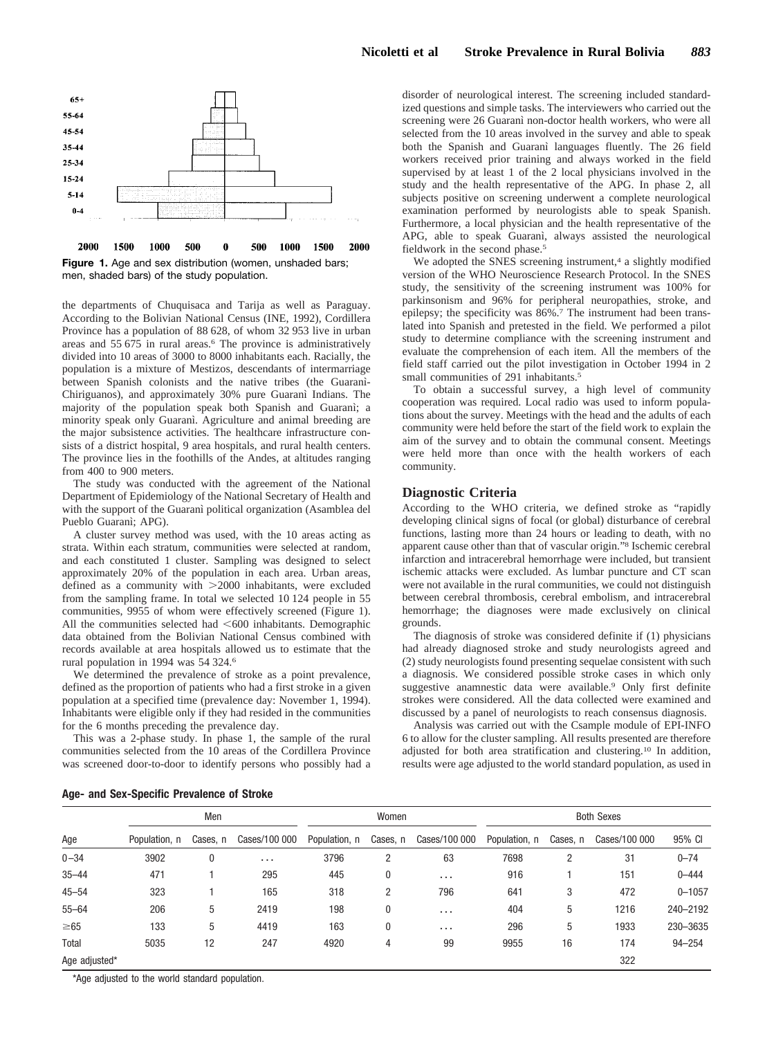

Figure 1. Age and sex distribution (women, unshaded bars; men, shaded bars) of the study population.

the departments of Chuquisaca and Tarija as well as Paraguay. According to the Bolivian National Census (INE, 1992), Cordillera Province has a population of 88 628, of whom 32 953 live in urban areas and 55 675 in rural areas.<sup>6</sup> The province is administratively divided into 10 areas of 3000 to 8000 inhabitants each. Racially, the population is a mixture of Mestizos, descendants of intermarriage between Spanish colonists and the native tribes (the Guarani-Chiriguanos), and approximately 30% pure Guaranı` Indians. The majority of the population speak both Spanish and Guarani; a minority speak only Guaranì. Agriculture and animal breeding are the major subsistence activities. The healthcare infrastructure consists of a district hospital, 9 area hospitals, and rural health centers. The province lies in the foothills of the Andes, at altitudes ranging from 400 to 900 meters.

The study was conducted with the agreement of the National Department of Epidemiology of the National Secretary of Health and with the support of the Guarani political organization (Asamblea del Pueblo Guaranì; APG).

A cluster survey method was used, with the 10 areas acting as strata. Within each stratum, communities were selected at random, and each constituted 1 cluster. Sampling was designed to select approximately 20% of the population in each area. Urban areas, defined as a community with  $>2000$  inhabitants, were excluded from the sampling frame. In total we selected 10 124 people in 55 communities, 9955 of whom were effectively screened (Figure 1). All the communities selected had  $<600$  inhabitants. Demographic data obtained from the Bolivian National Census combined with records available at area hospitals allowed us to estimate that the rural population in 1994 was 54 324.6

We determined the prevalence of stroke as a point prevalence, defined as the proportion of patients who had a first stroke in a given population at a specified time (prevalence day: November 1, 1994). Inhabitants were eligible only if they had resided in the communities for the 6 months preceding the prevalence day.

This was a 2-phase study. In phase 1, the sample of the rural communities selected from the 10 areas of the Cordillera Province was screened door-to-door to identify persons who possibly had a disorder of neurological interest. The screening included standardized questions and simple tasks. The interviewers who carried out the screening were 26 Guarani non-doctor health workers, who were all selected from the 10 areas involved in the survey and able to speak both the Spanish and Guarani languages fluently. The 26 field workers received prior training and always worked in the field supervised by at least 1 of the 2 local physicians involved in the study and the health representative of the APG. In phase 2, all subjects positive on screening underwent a complete neurological examination performed by neurologists able to speak Spanish. Furthermore, a local physician and the health representative of the APG, able to speak Guarani, always assisted the neurological fieldwork in the second phase.<sup>5</sup>

We adopted the SNES screening instrument,<sup>4</sup> a slightly modified version of the WHO Neuroscience Research Protocol. In the SNES study, the sensitivity of the screening instrument was 100% for parkinsonism and 96% for peripheral neuropathies, stroke, and epilepsy; the specificity was 86%.7 The instrument had been translated into Spanish and pretested in the field. We performed a pilot study to determine compliance with the screening instrument and evaluate the comprehension of each item. All the members of the field staff carried out the pilot investigation in October 1994 in 2 small communities of 291 inhabitants.<sup>5</sup>

To obtain a successful survey, a high level of community cooperation was required. Local radio was used to inform populations about the survey. Meetings with the head and the adults of each community were held before the start of the field work to explain the aim of the survey and to obtain the communal consent. Meetings were held more than once with the health workers of each community.

## **Diagnostic Criteria**

According to the WHO criteria, we defined stroke as "rapidly developing clinical signs of focal (or global) disturbance of cerebral functions, lasting more than 24 hours or leading to death, with no apparent cause other than that of vascular origin."8 Ischemic cerebral infarction and intracerebral hemorrhage were included, but transient ischemic attacks were excluded. As lumbar puncture and CT scan were not available in the rural communities, we could not distinguish between cerebral thrombosis, cerebral embolism, and intracerebral hemorrhage; the diagnoses were made exclusively on clinical grounds.

The diagnosis of stroke was considered definite if (1) physicians had already diagnosed stroke and study neurologists agreed and (2) study neurologists found presenting sequelae consistent with such a diagnosis. We considered possible stroke cases in which only suggestive anamnestic data were available.<sup>9</sup> Only first definite strokes were considered. All the data collected were examined and discussed by a panel of neurologists to reach consensus diagnosis.

Analysis was carried out with the Csample module of EPI-INFO 6 to allow for the cluster sampling. All results presented are therefore adjusted for both area stratification and clustering.10 In addition, results were age adjusted to the world standard population, as used in

| Age           | Men           |          |               | Women         |              |               | <b>Both Sexes</b> |          |               |            |
|---------------|---------------|----------|---------------|---------------|--------------|---------------|-------------------|----------|---------------|------------|
|               | Population, n | Cases, n | Cases/100 000 | Population, n | Cases, n     | Cases/100 000 | Population, n     | Cases, n | Cases/100 000 | 95% CI     |
| $0 - 34$      | 3902          | 0        | $\cdots$      | 3796          | 2            | 63            | 7698              | 2        | 31            | $0 - 74$   |
| $35 - 44$     | 471           |          | 295           | 445           | $\mathbf{0}$ | $\cdots$      | 916               |          | 151           | $0 - 444$  |
| $45 - 54$     | 323           |          | 165           | 318           | 2            | 796           | 641               | 3        | 472           | $0 - 1057$ |
| $55 - 64$     | 206           | 5        | 2419          | 198           | $\mathbf{0}$ | $\cdots$      | 404               | 5        | 1216          | 240-2192   |
| $\geq 65$     | 133           | 5        | 4419          | 163           | $\mathbf{0}$ | $\cdots$      | 296               | 5        | 1933          | 230-3635   |
| Total         | 5035          | 12       | 247           | 4920          | 4            | 99            | 9955              | 16       | 174           | $94 - 254$ |
| Age adjusted* |               |          |               |               |              |               |                   |          | 322           |            |

**Age- and Sex-Specific Prevalence of Stroke**

\*Age adjusted to the world standard population.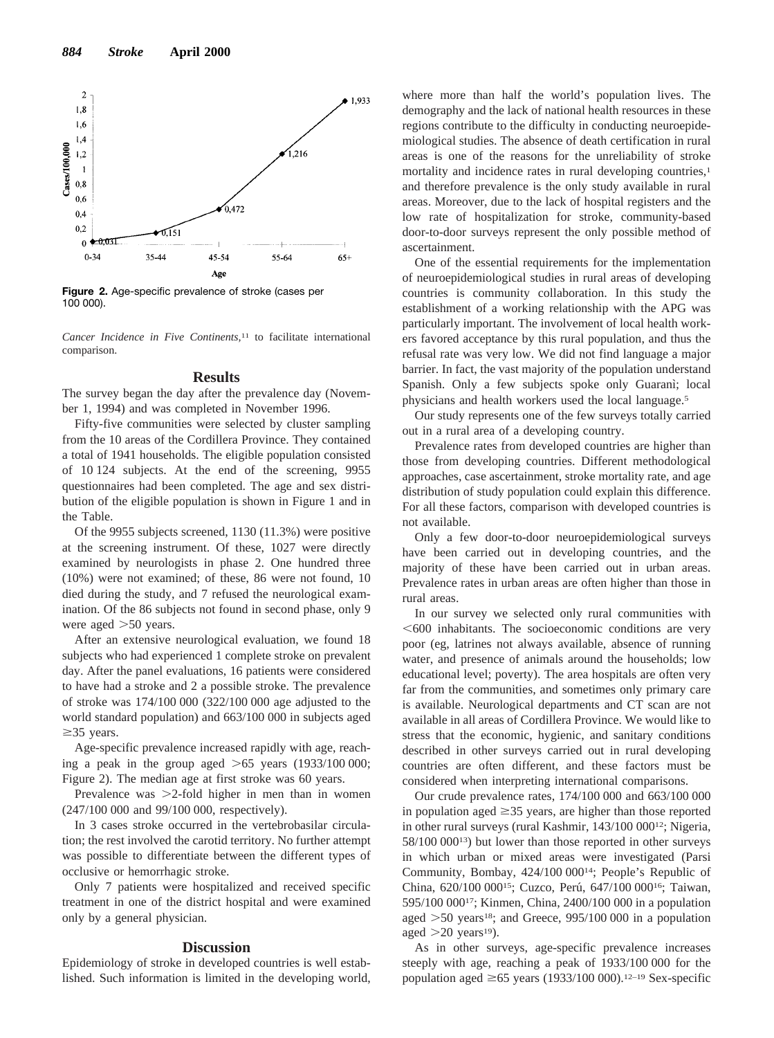

**Figure 2.** Age-specific prevalence of stroke (cases per 100 000).

*Cancer Incidence in Five Continents,*<sup>11</sup> to facilitate international comparison.

## **Results**

The survey began the day after the prevalence day (November 1, 1994) and was completed in November 1996.

Fifty-five communities were selected by cluster sampling from the 10 areas of the Cordillera Province. They contained a total of 1941 households. The eligible population consisted of 10 124 subjects. At the end of the screening, 9955 questionnaires had been completed. The age and sex distribution of the eligible population is shown in Figure 1 and in the Table.

Of the 9955 subjects screened, 1130 (11.3%) were positive at the screening instrument. Of these, 1027 were directly examined by neurologists in phase 2. One hundred three (10%) were not examined; of these, 86 were not found, 10 died during the study, and 7 refused the neurological examination. Of the 86 subjects not found in second phase, only 9 were aged  $>50$  years.

After an extensive neurological evaluation, we found 18 subjects who had experienced 1 complete stroke on prevalent day. After the panel evaluations, 16 patients were considered to have had a stroke and 2 a possible stroke. The prevalence of stroke was 174/100 000 (322/100 000 age adjusted to the world standard population) and 663/100 000 in subjects aged  $\geq$ 35 years.

Age-specific prevalence increased rapidly with age, reaching a peak in the group aged  $>65$  years (1933/100 000; Figure 2). The median age at first stroke was 60 years.

Prevalence was  $>2$ -fold higher in men than in women (247/100 000 and 99/100 000, respectively).

In 3 cases stroke occurred in the vertebrobasilar circulation; the rest involved the carotid territory. No further attempt was possible to differentiate between the different types of occlusive or hemorrhagic stroke.

Only 7 patients were hospitalized and received specific treatment in one of the district hospital and were examined only by a general physician.

#### **Discussion**

Epidemiology of stroke in developed countries is well established. Such information is limited in the developing world,

where more than half the world's population lives. The demography and the lack of national health resources in these regions contribute to the difficulty in conducting neuroepidemiological studies. The absence of death certification in rural areas is one of the reasons for the unreliability of stroke mortality and incidence rates in rural developing countries,<sup>1</sup> and therefore prevalence is the only study available in rural areas. Moreover, due to the lack of hospital registers and the low rate of hospitalization for stroke, community-based door-to-door surveys represent the only possible method of ascertainment.

One of the essential requirements for the implementation of neuroepidemiological studies in rural areas of developing countries is community collaboration. In this study the establishment of a working relationship with the APG was particularly important. The involvement of local health workers favored acceptance by this rural population, and thus the refusal rate was very low. We did not find language a major barrier. In fact, the vast majority of the population understand Spanish. Only a few subjects spoke only Guaranì; local physicians and health workers used the local language.5

Our study represents one of the few surveys totally carried out in a rural area of a developing country.

Prevalence rates from developed countries are higher than those from developing countries. Different methodological approaches, case ascertainment, stroke mortality rate, and age distribution of study population could explain this difference. For all these factors, comparison with developed countries is not available.

Only a few door-to-door neuroepidemiological surveys have been carried out in developing countries, and the majority of these have been carried out in urban areas. Prevalence rates in urban areas are often higher than those in rural areas.

In our survey we selected only rural communities with  $<600$  inhabitants. The socioeconomic conditions are very poor (eg, latrines not always available, absence of running water, and presence of animals around the households; low educational level; poverty). The area hospitals are often very far from the communities, and sometimes only primary care is available. Neurological departments and CT scan are not available in all areas of Cordillera Province. We would like to stress that the economic, hygienic, and sanitary conditions described in other surveys carried out in rural developing countries are often different, and these factors must be considered when interpreting international comparisons.

Our crude prevalence rates, 174/100 000 and 663/100 000 in population aged  $\geq$ 35 years, are higher than those reported in other rural surveys (rural Kashmir, 143/100 00012; Nigeria, 58/100 00013) but lower than those reported in other surveys in which urban or mixed areas were investigated (Parsi Community, Bombay, 424/100 00014; People's Republic of China, 620/100 000<sup>15</sup>; Cuzco, Perú, 647/100 000<sup>16</sup>; Taiwan, 595/100 00017; Kinmen, China, 2400/100 000 in a population aged  $>50$  years<sup>18</sup>; and Greece, 995/100 000 in a population aged  $>20$  years<sup>19</sup>).

As in other surveys, age-specific prevalence increases steeply with age, reaching a peak of 1933/100 000 for the population aged  $\geq 65$  years (1933/100 000).<sup>12–19</sup> Sex-specific